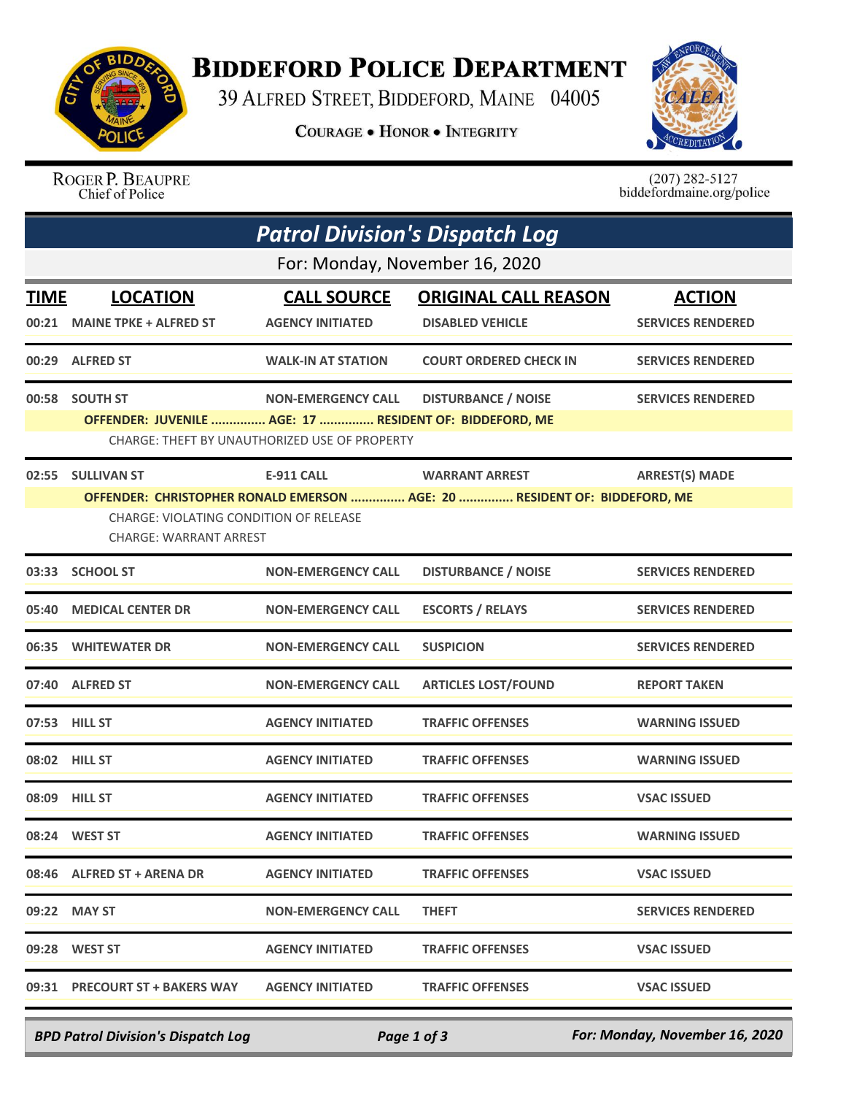

## **BIDDEFORD POLICE DEPARTMENT**

39 ALFRED STREET, BIDDEFORD, MAINE 04005

**COURAGE . HONOR . INTEGRITY** 



ROGER P. BEAUPRE Chief of Police

 $(207)$  282-5127 biddefordmaine.org/police

| <b>Patrol Division's Dispatch Log</b> |                                                                                                                                                                                                                                                         |                                                                            |                                                        |                                           |  |  |  |
|---------------------------------------|---------------------------------------------------------------------------------------------------------------------------------------------------------------------------------------------------------------------------------------------------------|----------------------------------------------------------------------------|--------------------------------------------------------|-------------------------------------------|--|--|--|
| For: Monday, November 16, 2020        |                                                                                                                                                                                                                                                         |                                                                            |                                                        |                                           |  |  |  |
| <u>TIME</u>                           | <b>LOCATION</b><br>00:21 MAINE TPKE + ALFRED ST                                                                                                                                                                                                         | <b>CALL SOURCE</b><br><b>AGENCY INITIATED</b>                              | <b>ORIGINAL CALL REASON</b><br><b>DISABLED VEHICLE</b> | <b>ACTION</b><br><b>SERVICES RENDERED</b> |  |  |  |
|                                       | 00:29 ALFRED ST                                                                                                                                                                                                                                         | <b>WALK-IN AT STATION</b>                                                  | <b>COURT ORDERED CHECK IN</b>                          | <b>SERVICES RENDERED</b>                  |  |  |  |
|                                       | 00:58 SOUTH ST<br>OFFENDER: JUVENILE  AGE: 17  RESIDENT OF: BIDDEFORD, ME                                                                                                                                                                               | <b>NON-EMERGENCY CALL</b><br>CHARGE: THEFT BY UNAUTHORIZED USE OF PROPERTY | <b>DISTURBANCE / NOISE</b>                             | <b>SERVICES RENDERED</b>                  |  |  |  |
|                                       | 02:55 SULLIVAN ST<br><b>E-911 CALL</b><br><b>WARRANT ARREST</b><br><b>ARREST(S) MADE</b><br>OFFENDER: CHRISTOPHER RONALD EMERSON  AGE: 20  RESIDENT OF: BIDDEFORD, ME<br><b>CHARGE: VIOLATING CONDITION OF RELEASE</b><br><b>CHARGE: WARRANT ARREST</b> |                                                                            |                                                        |                                           |  |  |  |
|                                       | 03:33 SCHOOL ST                                                                                                                                                                                                                                         | <b>NON-EMERGENCY CALL</b>                                                  | <b>DISTURBANCE / NOISE</b>                             | <b>SERVICES RENDERED</b>                  |  |  |  |
|                                       | 05:40 MEDICAL CENTER DR                                                                                                                                                                                                                                 | <b>NON-EMERGENCY CALL</b>                                                  | <b>ESCORTS / RELAYS</b>                                | <b>SERVICES RENDERED</b>                  |  |  |  |
|                                       | 06:35 WHITEWATER DR                                                                                                                                                                                                                                     | <b>NON-EMERGENCY CALL</b>                                                  | <b>SUSPICION</b>                                       | <b>SERVICES RENDERED</b>                  |  |  |  |
|                                       | 07:40 ALFRED ST                                                                                                                                                                                                                                         | <b>NON-EMERGENCY CALL</b>                                                  | <b>ARTICLES LOST/FOUND</b>                             | <b>REPORT TAKEN</b>                       |  |  |  |
|                                       | 07:53 HILL ST                                                                                                                                                                                                                                           | <b>AGENCY INITIATED</b>                                                    | <b>TRAFFIC OFFENSES</b>                                | <b>WARNING ISSUED</b>                     |  |  |  |
|                                       | 08:02 HILL ST                                                                                                                                                                                                                                           | <b>AGENCY INITIATED</b>                                                    | <b>TRAFFIC OFFENSES</b>                                | <b>WARNING ISSUED</b>                     |  |  |  |
|                                       | 08:09 HILL ST                                                                                                                                                                                                                                           | <b>AGENCY INITIATED</b>                                                    | <b>TRAFFIC OFFENSES</b>                                | <b>VSAC ISSUED</b>                        |  |  |  |
|                                       | 08:24 WEST ST                                                                                                                                                                                                                                           | <b>AGENCY INITIATED</b>                                                    | <b>TRAFFIC OFFENSES</b>                                | <b>WARNING ISSUED</b>                     |  |  |  |
|                                       | 08:46 ALFRED ST + ARENA DR                                                                                                                                                                                                                              | <b>AGENCY INITIATED</b>                                                    | <b>TRAFFIC OFFENSES</b>                                | <b>VSAC ISSUED</b>                        |  |  |  |
|                                       | 09:22 MAY ST                                                                                                                                                                                                                                            | <b>NON-EMERGENCY CALL</b>                                                  | <b>THEFT</b>                                           | <b>SERVICES RENDERED</b>                  |  |  |  |
|                                       | 09:28 WEST ST                                                                                                                                                                                                                                           | <b>AGENCY INITIATED</b>                                                    | <b>TRAFFIC OFFENSES</b>                                | <b>VSAC ISSUED</b>                        |  |  |  |
|                                       | 09:31 PRECOURT ST + BAKERS WAY AGENCY INITIATED                                                                                                                                                                                                         |                                                                            | <b>TRAFFIC OFFENSES</b>                                | <b>VSAC ISSUED</b>                        |  |  |  |

*BPD Patrol Division's Dispatch Log Page 1 of 3 For: Monday, November 16, 2020*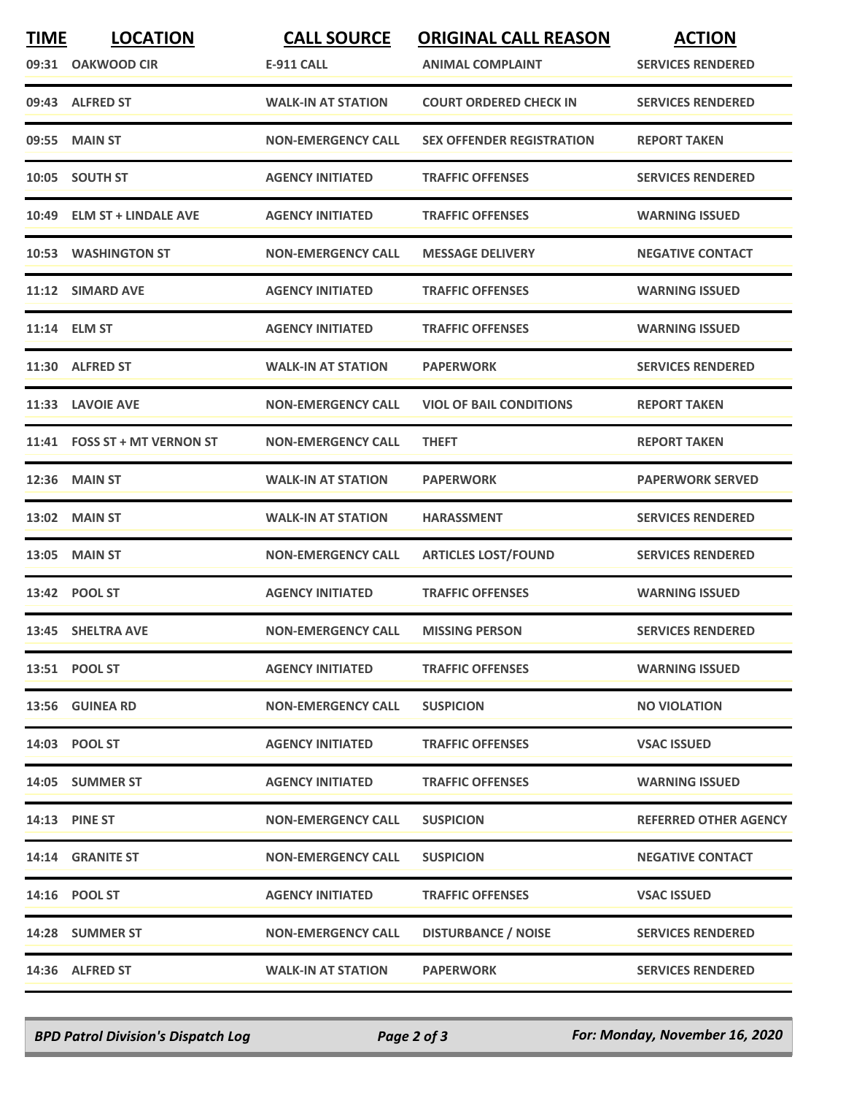| <b>TIME</b> | <b>LOCATION</b>              | <b>CALL SOURCE</b>        | <b>ORIGINAL CALL REASON</b>      | <b>ACTION</b>                |
|-------------|------------------------------|---------------------------|----------------------------------|------------------------------|
|             | 09:31 OAKWOOD CIR            | <b>E-911 CALL</b>         | <b>ANIMAL COMPLAINT</b>          | <b>SERVICES RENDERED</b>     |
|             | 09:43 ALFRED ST              | <b>WALK-IN AT STATION</b> | <b>COURT ORDERED CHECK IN</b>    | <b>SERVICES RENDERED</b>     |
| 09:55       | <b>MAIN ST</b>               | <b>NON-EMERGENCY CALL</b> | <b>SEX OFFENDER REGISTRATION</b> | <b>REPORT TAKEN</b>          |
|             | 10:05 SOUTH ST               | <b>AGENCY INITIATED</b>   | <b>TRAFFIC OFFENSES</b>          | <b>SERVICES RENDERED</b>     |
|             | 10:49 ELM ST + LINDALE AVE   | <b>AGENCY INITIATED</b>   | <b>TRAFFIC OFFENSES</b>          | <b>WARNING ISSUED</b>        |
|             | 10:53 WASHINGTON ST          | <b>NON-EMERGENCY CALL</b> | <b>MESSAGE DELIVERY</b>          | <b>NEGATIVE CONTACT</b>      |
| 11:12       | <b>SIMARD AVE</b>            | <b>AGENCY INITIATED</b>   | <b>TRAFFIC OFFENSES</b>          | <b>WARNING ISSUED</b>        |
|             | 11:14 ELM ST                 | <b>AGENCY INITIATED</b>   | <b>TRAFFIC OFFENSES</b>          | <b>WARNING ISSUED</b>        |
|             | 11:30 ALFRED ST              | <b>WALK-IN AT STATION</b> | <b>PAPERWORK</b>                 | <b>SERVICES RENDERED</b>     |
|             | 11:33 LAVOIE AVE             | <b>NON-EMERGENCY CALL</b> | <b>VIOL OF BAIL CONDITIONS</b>   | <b>REPORT TAKEN</b>          |
|             | 11:41 FOSS ST + MT VERNON ST | <b>NON-EMERGENCY CALL</b> | <b>THEFT</b>                     | <b>REPORT TAKEN</b>          |
| 12:36       | <b>MAIN ST</b>               | <b>WALK-IN AT STATION</b> | <b>PAPERWORK</b>                 | <b>PAPERWORK SERVED</b>      |
| 13:02       | <b>MAIN ST</b>               | <b>WALK-IN AT STATION</b> | <b>HARASSMENT</b>                | <b>SERVICES RENDERED</b>     |
| 13:05       | <b>MAIN ST</b>               | <b>NON-EMERGENCY CALL</b> | <b>ARTICLES LOST/FOUND</b>       | <b>SERVICES RENDERED</b>     |
|             | 13:42 POOL ST                | <b>AGENCY INITIATED</b>   | <b>TRAFFIC OFFENSES</b>          | <b>WARNING ISSUED</b>        |
|             | 13:45 SHELTRA AVE            | <b>NON-EMERGENCY CALL</b> | <b>MISSING PERSON</b>            | <b>SERVICES RENDERED</b>     |
|             | 13:51 POOL ST                | <b>AGENCY INITIATED</b>   | <b>TRAFFIC OFFENSES</b>          | <b>WARNING ISSUED</b>        |
|             | 13:56 GUINEA RD              | <b>NON-EMERGENCY CALL</b> | <b>SUSPICION</b>                 | <b>NO VIOLATION</b>          |
|             | 14:03 POOL ST                | <b>AGENCY INITIATED</b>   | <b>TRAFFIC OFFENSES</b>          | <b>VSAC ISSUED</b>           |
|             | 14:05 SUMMER ST              | <b>AGENCY INITIATED</b>   | <b>TRAFFIC OFFENSES</b>          | <b>WARNING ISSUED</b>        |
|             | <b>14:13 PINE ST</b>         | <b>NON-EMERGENCY CALL</b> | <b>SUSPICION</b>                 | <b>REFERRED OTHER AGENCY</b> |
|             | 14:14 GRANITE ST             | <b>NON-EMERGENCY CALL</b> | <b>SUSPICION</b>                 | <b>NEGATIVE CONTACT</b>      |
|             | 14:16 POOL ST                | <b>AGENCY INITIATED</b>   | <b>TRAFFIC OFFENSES</b>          | <b>VSAC ISSUED</b>           |
|             | 14:28 SUMMER ST              | <b>NON-EMERGENCY CALL</b> | <b>DISTURBANCE / NOISE</b>       | <b>SERVICES RENDERED</b>     |
|             | 14:36 ALFRED ST              | <b>WALK-IN AT STATION</b> | <b>PAPERWORK</b>                 | <b>SERVICES RENDERED</b>     |

*BPD Patrol Division's Dispatch Log Page 2 of 3 For: Monday, November 16, 2020*